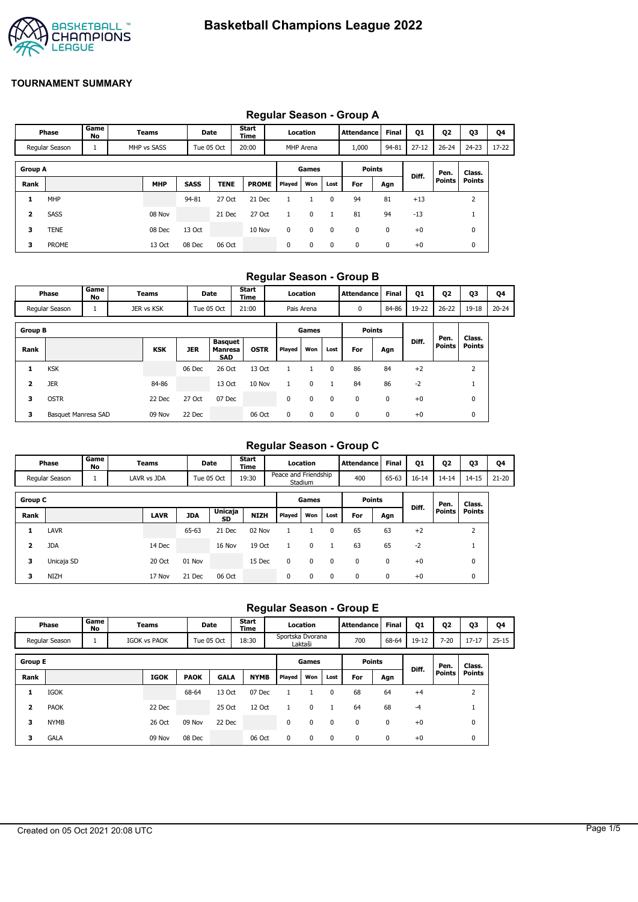

# **TOURNAMENT SUMMARY**

# **Regular Season - Group A**

|                |                |            |             |             |             | ັ             |        |           |             |                   |              |           |           |           |       |
|----------------|----------------|------------|-------------|-------------|-------------|---------------|--------|-----------|-------------|-------------------|--------------|-----------|-----------|-----------|-------|
|                | Phase          | Game<br>No | Teams       | Date        |             | Start<br>Time |        | Location  |             | <b>Attendance</b> | <b>Final</b> | Q1        | Q2        | <b>Q3</b> | Q4    |
|                | Regular Season | <b>T</b>   | MHP vs SASS | Tue 05 Oct  |             | 20:00         |        | MHP Arena |             | 1,000             | 94-81        | $27 - 12$ | $26 - 24$ | $24 - 23$ | 17-22 |
| <b>Group A</b> |                |            |             |             |             |               |        | Games     |             | <b>Points</b>     |              |           | Pen.      | Class.    |       |
| Rank           |                |            | <b>MHP</b>  | <b>SASS</b> | <b>TENE</b> | <b>PROME</b>  | Played | Won       | Lost        | For               | Agn          | Diff.     | Points    | Points    |       |
| 1              | MHP            |            |             | 94-81       | 27 Oct      | 21 Dec        |        |           | 0           | 94                | 81           | $+13$     |           | 2         |       |
| 2              | <b>SASS</b>    |            | 08 Nov      |             | 21 Dec      | 27 Oct        |        | 0         |             | 81                | 94           | $-13$     |           |           |       |
| 3              | TENE           |            | 08 Dec      | 13 Oct      |             | 10 Nov        | 0      | 0         | $\mathbf 0$ | 0                 | 0            | $+0$      |           | 0         |       |
| 3              | <b>PROME</b>   |            | 13 Oct      | 08 Dec      | 06 Oct      |               | 0      | 0         | $\mathbf 0$ | 0                 | 0            | $+0$      |           | 0         |       |

## **Regular Season - Group B**

|                | Phase               | Game<br>No | Teams      |            | <b>Date</b>                                    | <b>Start</b><br>Time |              | Location    |             | <b>Attendance</b> | <b>Final</b> | Q1    | Q2             | Q3               | Q4        |
|----------------|---------------------|------------|------------|------------|------------------------------------------------|----------------------|--------------|-------------|-------------|-------------------|--------------|-------|----------------|------------------|-----------|
|                | Regular Season      |            | JER vs KSK |            | Tue 05 Oct                                     | 21:00                |              | Pais Arena  |             | 0                 | 84-86        | 19-22 | $26 - 22$      | 19-18            | $20 - 24$ |
| <b>Group B</b> |                     |            |            |            |                                                |                      |              | Games       |             | <b>Points</b>     |              |       |                |                  |           |
| Rank           |                     |            | <b>KSK</b> | <b>JER</b> | <b>Basquet</b><br><b>Manresa</b><br><b>SAD</b> | <b>OSTR</b>          | Played       | Won         | Lost        | For               | Agn          | Diff. | Pen.<br>Points | Class.<br>Points |           |
| 1              | <b>KSK</b>          |            |            | 06 Dec     | 26 Oct                                         | 13 Oct               |              |             | $\Omega$    | 86                | 84           | $+2$  |                | h<br>۷           |           |
| 2              | <b>JER</b>          |            | 84-86      |            | 13 Oct                                         | 10 Nov               | $\mathbf{1}$ | 0           | 1           | 84                | 86           | $-2$  |                |                  |           |
| 3              | <b>OSTR</b>         |            | 22 Dec     | 27 Oct     | 07 Dec                                         |                      | 0            | 0           | 0           | 0                 | 0            | $+0$  |                | $\mathbf{0}$     |           |
| 3              | Basquet Manresa SAD |            | 09 Nov     | 22 Dec     |                                                | 06 Oct               | 0            | $\mathbf 0$ | $\mathbf 0$ | 0                 | 0            | $+0$  |                | 0                |           |

# **Regular Season - Group C**

|                | Phase          | Game<br>No | Teams       |            | Date          | <b>Start</b><br><b>Time</b> |                      | Location    |              | Attendance    | <b>Final</b> | Q1    | Q <sub>2</sub> | Q3            | Q4        |
|----------------|----------------|------------|-------------|------------|---------------|-----------------------------|----------------------|-------------|--------------|---------------|--------------|-------|----------------|---------------|-----------|
|                | Regular Season |            | LAVR vs JDA |            | Tue 05 Oct    | 19:30                       | Peace and Friendship | Stadium     |              | 400           | 65-63        | 16-14 | $14 - 14$      | $14 - 15$     | $21 - 20$ |
| <b>Group C</b> |                |            |             |            |               |                             |                      | Games       |              | <b>Points</b> |              |       | Pen.           | Class.        |           |
| Rank           |                |            | LAVR        | <b>JDA</b> | Unicaja<br>SD | <b>NIZH</b>                 | <b>Played</b>        | Won         | Lost         | For           | Agn          | Diff. | Points         | <b>Points</b> |           |
| 1              | <b>LAVR</b>    |            |             | 65-63      | 21 Dec        | 02 Nov                      |                      |             | 0            | 65            | 63           | $+2$  |                | 2             |           |
| 2              | <b>JDA</b>     |            | 14 Dec      |            | 16 Nov        | 19 Oct                      |                      | $\mathbf 0$ | $\mathbf{1}$ | 63            | 65           | $-2$  |                |               |           |
| 3              | Unicaja SD     |            | 20 Oct      | 01 Nov     |               | 15 Dec                      | 0                    | $\mathbf 0$ | 0            | $\mathbf 0$   | 0            | $+0$  |                | 0             |           |
| з              | <b>NIZH</b>    |            | 17 Nov      | 21 Dec     | 06 Oct        |                             | 0                    | $\mathbf 0$ | 0            | $\mathbf{0}$  | 0            | $+0$  |                | 0             |           |

## **Regular Season - Group E**

| <b>Phase</b>                                         | <b>Game</b><br>No | $\tau$ eams         | Date       | <b>Start</b><br>Time | Location                    | <b>Attendance</b> | <b>Final</b> | Q <sub>1</sub> | 02       | Q3                | 04        |
|------------------------------------------------------|-------------------|---------------------|------------|----------------------|-----------------------------|-------------------|--------------|----------------|----------|-------------------|-----------|
| Regular Season                                       |                   | <b>IGOK vs PAOK</b> | Tue 05 Oct | 18:30                | Sportska Dvorana<br>∟aktaši | 700               | 68-64        | $19-12$<br>-14 | $7 - 20$ | $17 - 17$<br>، ۲۰ | $25 - 15$ |
| $\overline{\phantom{a}}$<br>$\overline{\phantom{a}}$ |                   |                     |            |                      | <b>_</b>                    | - - -             |              |                |          |                   |           |

| <b>Group E</b> |             |             |             |             |             |               | Games |          | <b>Points</b> |     | Diff. | Pen.          | Class.        |
|----------------|-------------|-------------|-------------|-------------|-------------|---------------|-------|----------|---------------|-----|-------|---------------|---------------|
| Rank           |             | <b>IGOK</b> | <b>PAOK</b> | <b>GALA</b> | <b>NYMB</b> | <b>Played</b> | Won   | Lost     | For           | Agn |       | <b>Points</b> | <b>Points</b> |
| 1              | IGOK        |             | 68-64       | 13 Oct      | 07 Dec      |               |       |          | 68            | 64  | $+4$  |               |               |
| 2              | <b>PAOK</b> | 22 Dec      |             | 25 Oct      | 12 Oct      |               | 0     |          | 64            | 68  | -4    |               |               |
| з              | <b>NYMB</b> | 26 Oct      | 09 Nov      | 22 Dec      |             | 0             | 0     | $\Omega$ | 0             | 0   | $+0$  |               | 0             |
| 3              | <b>GALA</b> | 09 Nov      | 08 Dec      |             | 06 Oct      | 0             | 0     | $\Omega$ | 0             | 0   | $+0$  |               | 0             |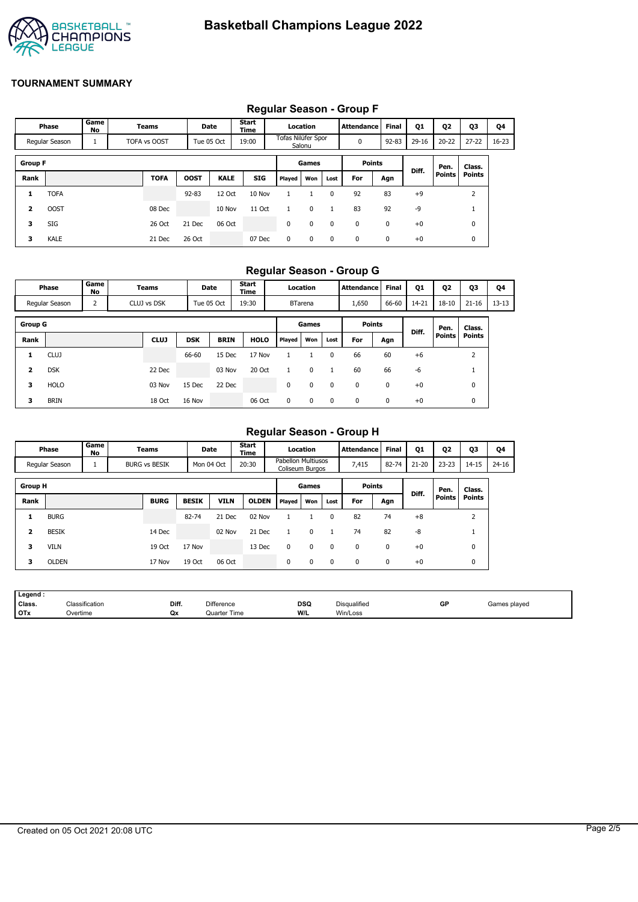

## **TOURNAMENT SUMMARY**

## **Regular Season - Group F**

|                |                |            |                     |             |             | . .           |                    |            |              |               |           |       |               |                   |       |
|----------------|----------------|------------|---------------------|-------------|-------------|---------------|--------------------|------------|--------------|---------------|-----------|-------|---------------|-------------------|-------|
|                | Phase          | Game<br>No | Teams               |             | Date        | Start<br>Time |                    | Location   |              | Attendance    | Final     | Q1    | Q2            | Q3                | Q4    |
|                | Regular Season |            | <b>TOFA vs OOST</b> | Tue 05 Oct  |             | 19:00         | Tofas Nilüfer Spor | Salonu     |              | 0             | $92 - 83$ | 29-16 | $20 - 22$     | $27 - 22$         | 16-23 |
| <b>Group F</b> |                |            |                     |             |             |               |                    | Games      |              | <b>Points</b> |           |       | Pen.          | Class.            |       |
| Rank           |                |            | <b>TOFA</b>         | <b>OOST</b> | <b>KALE</b> | <b>SIG</b>    | <b>Played</b>      | Won        | Lost         | For           | Agn       | Diff. | <b>Points</b> | <b>Points</b>     |       |
| 1              | TOFA           |            |                     | $92 - 83$   | 12 Oct      | 10 Nov        |                    |            | $\mathbf{0}$ | 92            | 83        | $+9$  |               | <sup>-</sup><br>ے |       |
| $\overline{2}$ | <b>OOST</b>    |            | 08 Dec              |             | 10 Nov      | 11 Oct        | 1                  | 0          |              | 83            | 92        | -9    |               |                   |       |
| 3              | SIG            |            | 26 Oct              | 21 Dec      | 06 Oct      |               | 0                  | 0          | $\Omega$     | $\mathbf{0}$  | 0         | $+0$  |               | 0                 |       |
| 3              | <b>KALE</b>    |            | 21 Dec              | 26 Oct      |             | 07 Dec        | $\mathbf 0$        | $^{\circ}$ | $^{\circ}$   | $^{\rm o}$    | 0         | $+0$  |               | 0                 |       |

#### **Regular Season - Group G**

|                | Phase          | Game<br>No     | Teams       |            | Date        | Start<br><b>Time</b> |               | Location       |      | <b>Attendance</b> | <b>Final</b> | Q1        | Q <sub>2</sub> | Q3            | Q4        |
|----------------|----------------|----------------|-------------|------------|-------------|----------------------|---------------|----------------|------|-------------------|--------------|-----------|----------------|---------------|-----------|
|                | Regular Season | $\overline{2}$ | CLUJ vs DSK |            | Tue 05 Oct  | 19:30                |               | <b>BTarena</b> |      | 1,650             | 66-60        | $14 - 21$ | $18 - 10$      | $21 - 16$     | $13 - 13$ |
| <b>Group G</b> |                |                |             |            |             |                      |               | Games          |      | <b>Points</b>     |              |           | Pen.           | Class.        |           |
| Rank           |                |                | <b>CLUJ</b> | <b>DSK</b> | <b>BRIN</b> | <b>HOLO</b>          | <b>Played</b> | Won            | Lost | For               | Agn          | Diff.     | <b>Points</b>  | <b>Points</b> |           |
| 1              | <b>CLUJ</b>    |                |             | 66-60      | 15 Dec      | 17 Nov               |               |                | 0    | 66                | 60           | $+6$      |                | 2             |           |
| $\overline{2}$ | <b>DSK</b>     |                | 22 Dec      |            | 03 Nov      | 20 Oct               |               | 0              |      | 60                | 66           | -6        |                |               |           |
| з              | <b>HOLO</b>    |                | 03 Nov      | 15 Dec     | 22 Dec      |                      | 0             | 0              | 0    | 0                 | 0            | $+0$      |                | 0             |           |
| з              | <b>BRIN</b>    |                | 18 Oct      | 16 Nov     |             | 06 Oct               | 0             | 0              | 0    | 0                 | 0            | $+0$      |                | 0             |           |

## **Regular Season - Group H**

|                | Phase          | Game<br>No | Teams                | Date         |             | Start<br>Time |                                              | Location     |             | Attendance    | <b>Final</b> | Q1        | Q <sub>2</sub> | Q3             | Q4        |
|----------------|----------------|------------|----------------------|--------------|-------------|---------------|----------------------------------------------|--------------|-------------|---------------|--------------|-----------|----------------|----------------|-----------|
|                | Regular Season | щ          | <b>BURG vs BESIK</b> |              | Mon 04 Oct  | 20:30         | <b>Pabellon Multiusos</b><br>Coliseum Burgos |              |             | 7,415         | 82-74        | $21 - 20$ | $23 - 23$      | $14 - 15$      | $24 - 16$ |
| <b>Group H</b> |                |            |                      |              |             |               |                                              | Games        |             | <b>Points</b> |              |           | Pen.           | Class.         |           |
| Rank           |                |            | <b>BURG</b>          | <b>BESIK</b> | <b>VILN</b> | <b>OLDEN</b>  | <b>Played</b>                                | Won          | Lost        | For           | Agn          | Diff.     | <b>Points</b>  | <b>Points</b>  |           |
| 1              | <b>BURG</b>    |            |                      | 82-74        | 21 Dec      | 02 Nov        |                                              |              | 0           | 82            | 74           | $+8$      |                | $\overline{2}$ |           |
| 2              | <b>BESIK</b>   |            | 14 Dec               |              | 02 Nov      | 21 Dec        | 1                                            | $\mathbf{0}$ |             | 74            | 82           | -8        |                |                |           |
| 3              | <b>VILN</b>    |            | 19 Oct               | 17 Nov       |             | 13 Dec        | 0                                            | 0            | 0           | $\Omega$      | 0            | $+0$      |                | 0              |           |
| 3              | <b>OLDEN</b>   |            | 17 Nov               | 19 Oct       | 06 Oct      |               | 0                                            | $\Omega$     | $\mathbf 0$ | 0             | $\mathbf 0$  | $+0$      |                | 0              |           |

| Legend     |                |       |                   |     |              |    |              |
|------------|----------------|-------|-------------------|-----|--------------|----|--------------|
| Class.     | Classification | Diff. | <b>Difference</b> | DSQ | Disqualified | GP | Games played |
| <b>OTx</b> | Overtime       | Qx    | Quarter Time      | W/L | Win/Loss     |    |              |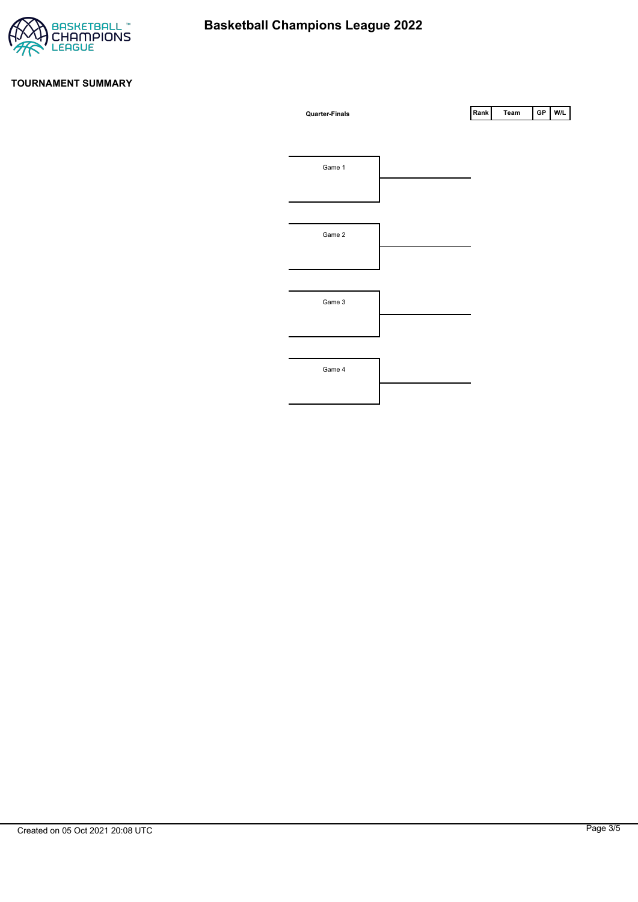

### **TOURNAMENT SUMMARY**

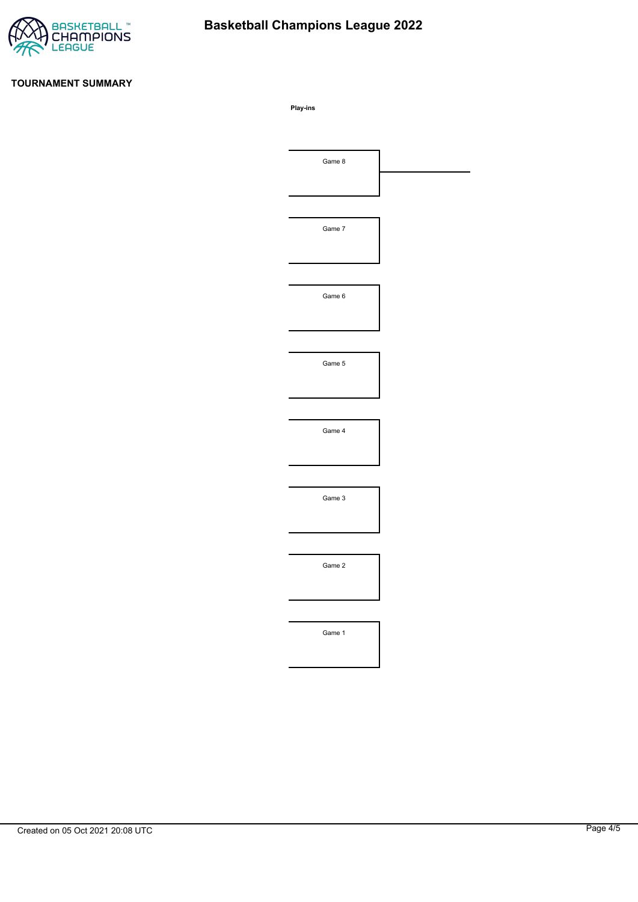

# **Basketball Champions League 2022**

## **TOURNAMENT SUMMARY**

**Play-ins**

| Game 8 |  |
|--------|--|
|        |  |
|        |  |
| Game 7 |  |
|        |  |
|        |  |
| Game 6 |  |
|        |  |
|        |  |
| Game 5 |  |
|        |  |
|        |  |
| Game 4 |  |
|        |  |
|        |  |
| Game 3 |  |
|        |  |
|        |  |
| Game 2 |  |
|        |  |
|        |  |
|        |  |
| Game 1 |  |
|        |  |
|        |  |